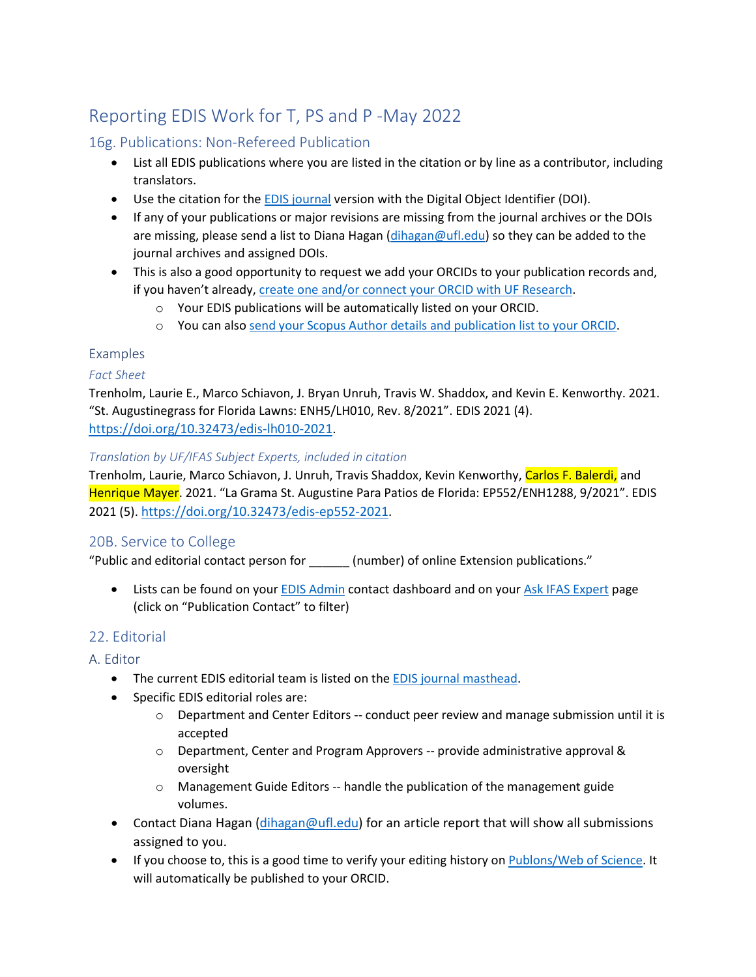# Reporting EDIS Work for T, PS and P -May 2022

### 16g. Publications: Non-Refereed Publication

- List all EDIS publications where you are listed in the citation or by line as a contributor, including translators.
- Use the citation for the **[EDIS journal](https://journals.flvc.org/edis/) version with the Digital Object Identifier (DOI)**.
- If any of your publications or major revisions are missing from the journal archives or the DOIs are missing, please send a list to Diana Hagan [\(dihagan@ufl.edu\)](mailto:dihagan@ufl.edu) so they can be added to the journal archives and assigned DOIs.
- This is also a good opportunity to request we add your ORCIDs to your publication records and, if you haven't already, create one and/or connect [your ORCID with UF Research](https://research.ufl.edu/orcid.html).
	- o Your EDIS publications will be automatically listed on your ORCID.
	- o You can also send your Scopus Author [details and publication list to your ORCID.](https://orcid.scopusfeedback.com/#/)

### Examples

### *Fact Sheet*

Trenholm, Laurie E., Marco Schiavon, J. Bryan Unruh, Travis W. Shaddox, and Kevin E. Kenworthy. 2021. "St. Augustinegrass for Florida Lawns: ENH5/LH010, Rev. 8/2021". EDIS 2021 (4). <https://doi.org/10.32473/edis-lh010-2021>.

#### *Translation by UF/IFAS Subject Experts, included in citation*

Trenholm, Laurie, Marco Schiavon, J. Unruh, Travis Shaddox, Kevin Kenworthy, Carlos F. Balerdi, and Henrique Mayer. 2021. "La Grama St. Augustine Para Patios de Florida: EP552/ENH1288, 9/2021". EDIS 2021 (5).<https://doi.org/10.32473/edis-ep552-2021>.

## 20B. Service to College

"Public and editorial contact person for \_\_\_\_\_\_ (number) of online Extension publications."

• Lists can be found on your **[EDIS Admin](https://edis-admin.ifas.ufl.edu/)** contact dashboard and on your [Ask IFAS](https://edis.ifas.ufl.edu/experts) Expert page (click on "Publication Contact" to filter)

## 22. Editorial

A. Editor

- The current EDIS editorial team is listed on the [EDIS journal masthead](https://journals.flvc.org/edis/about/editorialTeam).
- Specific EDIS editorial roles are:
	- o Department and Center Editors -- conduct peer review and manage submission until it is accepted
	- $\circ$  Department, Center and Program Approvers -- provide administrative approval & oversight
	- o Management Guide Editors -- handle the publication of the management guide volumes.
- Contact Diana Hagan ([dihagan@ufl.edu\)](mailto:dihagan@ufl.edu) for an article report that will show all submissions assigned to you.
- If you choose to, this is a good time to verify your editing history on [Publons/Web of Science](https://publons.com/benefits/researchers). It will automatically be published to your ORCID.